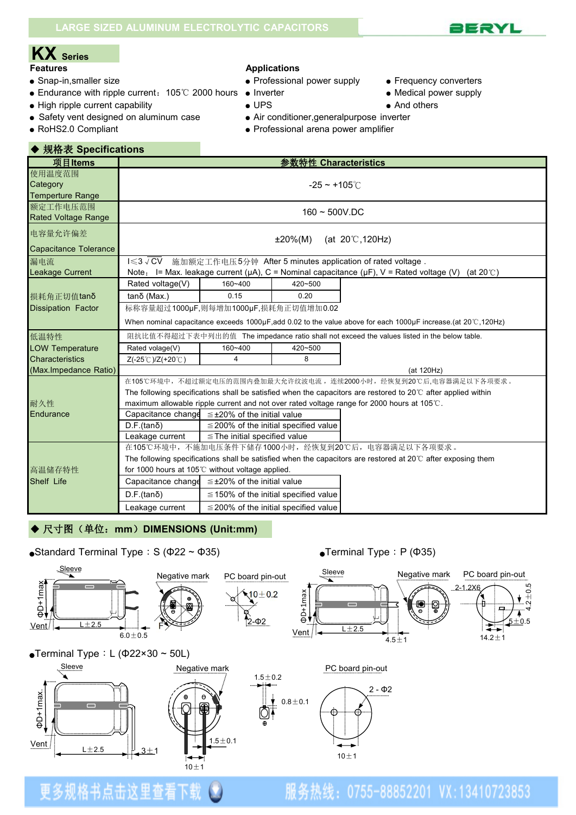

# **KX Series**

and the

- **Features Applications**<br>
Snap-in.smaller size **Applications**
- Endurance with ripple current: 105℃ 2000 hours Inverter Nedical power supply<br>● High ripple current capability OPS Medical power supply
- High ripple current capability <br>● OPS And others
- Safety vent designed on aluminum case Air conditioner, general purpose inverter
- 

- Professional power supply Frequency converters
	-
	-
	-
	-
- RoHS2.0 Compliant 
Professional arena power amplifier

| ◆ 规格表 Specifications                                                                                                    |                                                                                                                         |  |  |  |  |  |  |  |  |  |  |
|-------------------------------------------------------------------------------------------------------------------------|-------------------------------------------------------------------------------------------------------------------------|--|--|--|--|--|--|--|--|--|--|
| 项目Items<br>参数特性 Characteristics                                                                                         |                                                                                                                         |  |  |  |  |  |  |  |  |  |  |
| 使用温度范围<br>Category<br>$-25 \sim +105^{\circ}$<br><b>Temperture Range</b><br>额定工作电压范围                                    |                                                                                                                         |  |  |  |  |  |  |  |  |  |  |
| $160 - 500V$ .DC<br>Rated Voltage Range                                                                                 |                                                                                                                         |  |  |  |  |  |  |  |  |  |  |
| 电容量允许偏差<br>(at $20^{\circ}$ C, 120Hz)<br>±20%(M)<br>Capacitance Tolerance                                               |                                                                                                                         |  |  |  |  |  |  |  |  |  |  |
| 漏电流<br>I ≤ 3 √ CV 施加额定工作电压 5分钟 After 5 minutes application of rated voltage.<br>Leakage Current                         | Note: I= Max. leakage current ( $\mu$ A), C = Nominal capacitance ( $\mu$ F), V = Rated voltage (V) (at 20°C)           |  |  |  |  |  |  |  |  |  |  |
| 160~400<br>420~500<br>Rated voltage(V)                                                                                  |                                                                                                                         |  |  |  |  |  |  |  |  |  |  |
| 损耗角正切值tanδ<br>$tan\delta$ (Max.)<br>0.15<br>0.20                                                                        |                                                                                                                         |  |  |  |  |  |  |  |  |  |  |
| Dissipation Factor                                                                                                      | 标称容量超过1000µF,则每增加1000µF,损耗角正切值增加0.02                                                                                    |  |  |  |  |  |  |  |  |  |  |
|                                                                                                                         | When nominal capacitance exceeds 1000µF,add 0.02 to the value above for each 1000µF increase.(at 20 $\degree$ ,120Hz)   |  |  |  |  |  |  |  |  |  |  |
| 阻抗比值不得超过下表中列出的值 The impedance ratio shall not exceed the values listed in the below table.<br>低温特性                      |                                                                                                                         |  |  |  |  |  |  |  |  |  |  |
| Rated volage(V)<br><b>LOW Temperature</b><br>160~400<br>420~500                                                         |                                                                                                                         |  |  |  |  |  |  |  |  |  |  |
| <b>Characteristics</b><br>Z(-25℃)/Z(+20℃)<br>8<br>4                                                                     |                                                                                                                         |  |  |  |  |  |  |  |  |  |  |
| (Max.Impedance Ratio)<br>(at 120Hz)                                                                                     |                                                                                                                         |  |  |  |  |  |  |  |  |  |  |
|                                                                                                                         | 在105℃环境中,不超过额定电压的范围内叠加最大允许纹波电流,连续2000小时,经恢复到20℃后,电容器满足以下各项要求。                                                           |  |  |  |  |  |  |  |  |  |  |
|                                                                                                                         | The following specifications shall be satisfied when the capacitors are restored to $20^{\circ}$ C after applied within |  |  |  |  |  |  |  |  |  |  |
| 耐久性                                                                                                                     | maximum allowable ripple current and not over rated voltage range for 2000 hours at 105°C.                              |  |  |  |  |  |  |  |  |  |  |
| Endurance<br>$D.F.(tan\delta)$                                                                                          | Capacitance change $\leq \pm 20\%$ of the initial value                                                                 |  |  |  |  |  |  |  |  |  |  |
| $\leq$ 200% of the initial specified value<br>$\le$ The initial specified value<br>Leakage current                      |                                                                                                                         |  |  |  |  |  |  |  |  |  |  |
| 在105℃环境中,不施加电压条件下储存1000小时,经恢复到20℃后,电容器满足以下各项要求。                                                                         |                                                                                                                         |  |  |  |  |  |  |  |  |  |  |
| The following specifications shall be satisfied when the capacitors are restored at 20 $^{\circ}$ C after exposing them |                                                                                                                         |  |  |  |  |  |  |  |  |  |  |
| for 1000 hours at 105°C without voltage applied.<br>高温储存特性                                                              |                                                                                                                         |  |  |  |  |  |  |  |  |  |  |
| Shelf Life<br>Capacitance change $\leq \pm 20\%$ of the initial value                                                   |                                                                                                                         |  |  |  |  |  |  |  |  |  |  |
| $D.F.(tan\delta)$<br>$\leq$ 150% of the initial specified value                                                         |                                                                                                                         |  |  |  |  |  |  |  |  |  |  |
| Leakage current                                                                                                         | $\leq$ 200% of the initial specified value                                                                              |  |  |  |  |  |  |  |  |  |  |

### ◆ 尺寸图(单位: mm) DIMENSIONS (Unit:mm)





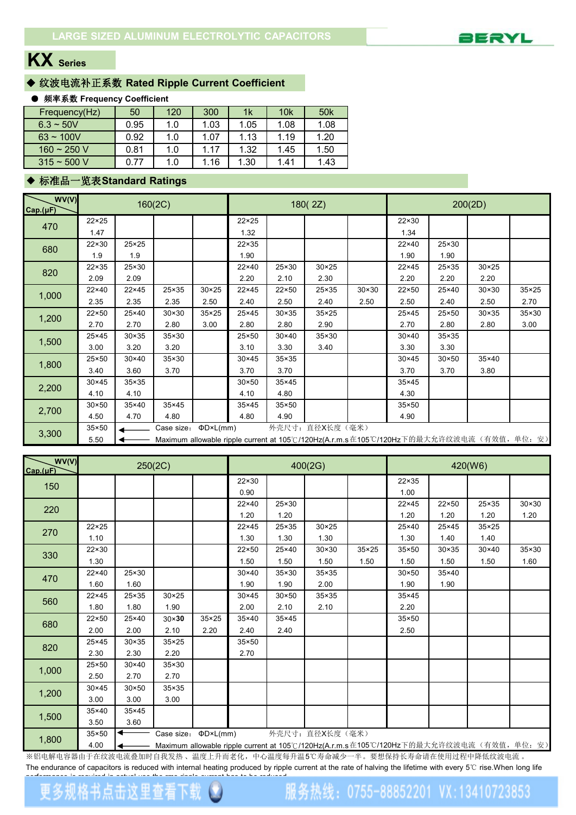

## **KX Series**

#### ◆ 纹波电流补正系数 **Rated Ripple Current Coefficient**

● 频率系数 **Frequency Coefficient**

| Frequency(Hz)       | 50   | 120 | 300  | 1k   | 10k  | 50 <sub>k</sub> |
|---------------------|------|-----|------|------|------|-----------------|
| $6.3 \sim 50V$      | 0.95 | 1.0 | 1.03 | 1.05 | 1.08 | 1.08            |
| $63 - 100V$         | 0.92 | 1.0 | 1.07 | 1.13 | 1.19 | 1.20            |
| $160 \sim 250$ V    | 0.81 | 1.0 | 1.17 | 1.32 | 1.45 | 1.50            |
| $315 \approx 500$ V | 0.77 | 1.0 | . 16 | 1.30 | 1.41 | 1.43            |

#### ◆ 标准品一览表**Standard Ratings**

| WV(V)<br>Cap.(µF) |                |                | 160(2C)                           |                |                |                | 180(2Z)                                                                                |                |                |                | 200(2D)        |                |
|-------------------|----------------|----------------|-----------------------------------|----------------|----------------|----------------|----------------------------------------------------------------------------------------|----------------|----------------|----------------|----------------|----------------|
| 470               | $22 \times 25$ |                |                                   |                | $22 \times 25$ |                |                                                                                        |                | $22 \times 30$ |                |                |                |
|                   | 1.47           |                |                                   |                | 1.32           |                |                                                                                        |                | 1.34           |                |                |                |
| 680               | $22 \times 30$ | $25 \times 25$ |                                   |                | $22 \times 35$ |                |                                                                                        |                | $22\times 40$  | $25 \times 30$ |                |                |
|                   | 1.9            | 1.9            |                                   |                | 1.90           |                |                                                                                        |                | 1.90           | 1.90           |                |                |
| 820               | $22 \times 35$ | 25×30          |                                   |                | $22 \times 40$ | 25×30          | $30 \times 25$                                                                         |                | $22 \times 45$ | $25 \times 35$ | $30 \times 25$ |                |
|                   | 2.09           | 2.09           |                                   |                | 2.20           | 2.10           | 2.30                                                                                   |                | 2.20           | 2.20           | 2.20           |                |
| 1,000             | $22 \times 40$ | $22 \times 45$ | $25 \times 35$                    | $30 \times 25$ | $22 \times 45$ | $22 \times 50$ | $25 \times 35$                                                                         | $30 \times 30$ | 22×50          | $25 \times 40$ | $30 \times 30$ | $35 \times 25$ |
|                   | 2.35           | 2.35           | 2.35                              | 2.50           | 2.40           | 2.50           | 2.40                                                                                   | 2.50           | 2.50           | 2.40           | 2.50           | 2.70           |
| 1,200             | $22 \times 50$ | 25×40          | $30 \times 30$                    | $35 \times 25$ | 25×45          | $30 \times 35$ | $35 \times 25$                                                                         |                | 25×45          | $25 \times 50$ | $30 \times 35$ | $35 \times 30$ |
|                   | 2.70           | 2.70           | 2.80                              | 3.00           | 2.80           | 2.80           | 2.90                                                                                   |                | 2.70           | 2.80           | 2.80           | 3.00           |
| 1,500             | $25 \times 45$ | $30 \times 35$ | $35 \times 30$                    |                | $25 \times 50$ | $30 \times 40$ | $35 \times 30$                                                                         |                | $30 \times 40$ | $35 \times 35$ |                |                |
|                   | 3.00           | 3.20           | 3.20                              |                | 3.10           | 3.30           | 3.40                                                                                   |                | 3.30           | 3.30           |                |                |
| 1,800             | $25 \times 50$ | $30 \times 40$ | $35 \times 30$                    |                | $30 \times 45$ | $35 \times 35$ |                                                                                        |                | $30 \times 45$ | $30 \times 50$ | $35\times40$   |                |
|                   | 3.40           | 3.60           | 3.70                              |                | 3.70           | 3.70           |                                                                                        |                | 3.70           | 3.70           | 3.80           |                |
| 2,200             | $30 \times 45$ | $35 \times 35$ |                                   |                | $30 \times 50$ | $35 \times 45$ |                                                                                        |                | $35 \times 45$ |                |                |                |
|                   | 4.10           | 4.10           |                                   |                | 4.10           | 4.80           |                                                                                        |                | 4.30           |                |                |                |
| 2,700             | $30 \times 50$ | $35 \times 40$ | $35 \times 45$                    |                | $35 \times 45$ | $35 \times 50$ |                                                                                        |                | $35\times50$   |                |                |                |
|                   | 4.50           | 4.70           | 4.80                              |                | 4.80           | 4.90           |                                                                                        |                | 4.90           |                |                |                |
| 3,300             | $35 \times 50$ |                | Case size: $\Phi D \times L$ (mm) |                |                |                | 外壳尺寸: 直径X长度 (毫米)                                                                       |                |                |                |                |                |
|                   | 5.50           |                |                                   |                |                |                | Maximum allowable ripple current at 105℃/120Hz(A.r.m.s在105℃/120Hz下的最大允许纹波电流(有效值,单位: 安) |                |                |                |                |                |

| WV(V)<br>$Cap.(\mu F)$ |                |                | 250(2C)                           |                | 400(2G)<br>420(W6) |                |                 |                |                                                                                                       |                |                |                |
|------------------------|----------------|----------------|-----------------------------------|----------------|--------------------|----------------|-----------------|----------------|-------------------------------------------------------------------------------------------------------|----------------|----------------|----------------|
| 150                    |                |                |                                   |                | $22 \times 30$     |                |                 |                | $22 \times 35$                                                                                        |                |                |                |
|                        |                |                |                                   |                | 0.90               |                |                 |                | 1.00                                                                                                  |                |                |                |
| 220                    |                |                |                                   |                | $22\times 40$      | 25×30          |                 |                | $22 \times 45$                                                                                        | $22 \times 50$ | 25×35          | $30 \times 30$ |
|                        |                |                |                                   |                | 1.20               | 1.20           |                 |                | 1.20                                                                                                  | 1.20           | 1.20           | 1.20           |
| 270                    | $22 \times 25$ |                |                                   |                | $22 \times 45$     | 25×35          | $30 \times 25$  |                | $25 \times 40$                                                                                        | $25 \times 45$ | $35 \times 25$ |                |
|                        | 1.10           |                |                                   |                | 1.30               | 1.30           | 1.30            |                | 1.30                                                                                                  | 1.40           | 1.40           |                |
|                        | 22×30          |                |                                   |                | 22×50              | 25×40          | $30 \times 30$  | $35 \times 25$ | $35 \times 50$                                                                                        | $30 \times 35$ | $30 \times 40$ | $35 \times 30$ |
| 330                    | 1.30           |                |                                   |                | 1.50               | 1.50           | 1.50            | 1.50           | 1.50                                                                                                  | 1.50           | 1.50           | 1.60           |
| 470                    | $22\times 40$  | $25 \times 30$ |                                   |                | $30 \times 40$     | 35×30          | 35×35           |                | $30 \times 50$                                                                                        | $35 \times 40$ |                |                |
|                        | 1.60           | 1.60           |                                   |                | 1.90               | 1.90           | 2.00            |                | 1.90                                                                                                  | 1.90           |                |                |
| 560                    | $22 \times 45$ | 25×35          | $30 \times 25$                    |                | $30 \times 45$     | $30 \times 50$ | 35×35           |                | $35 \times 45$                                                                                        |                |                |                |
|                        | 1.80           | 1.80           | 1.90                              |                | 2.00               | 2.10           | 2.10            |                | 2.20                                                                                                  |                |                |                |
| 680                    | $22 \times 50$ | 25×40          | $30 \times 30$                    | $35 \times 25$ | $35\times40$       | $35 \times 45$ |                 |                | $35\times50$                                                                                          |                |                |                |
|                        | 2.00           | 2.00           | 2.10                              | 2.20           | 2.40               | 2.40           |                 |                | 2.50                                                                                                  |                |                |                |
| 820                    | $25 \times 45$ | $30 \times 35$ | $35 \times 25$                    |                | $35\times50$       |                |                 |                |                                                                                                       |                |                |                |
|                        | 2.30           | 2.30           | 2.20                              |                | 2.70               |                |                 |                |                                                                                                       |                |                |                |
|                        | 25×50          | $30 \times 40$ | $35 \times 30$                    |                |                    |                |                 |                |                                                                                                       |                |                |                |
| 1,000                  | 2.50           | 2.70           | 2.70                              |                |                    |                |                 |                |                                                                                                       |                |                |                |
| 1,200                  | $30 \times 45$ | $30 \times 50$ | $35 \times 35$                    |                |                    |                |                 |                |                                                                                                       |                |                |                |
|                        | 3.00           | 3.00           | 3.00                              |                |                    |                |                 |                |                                                                                                       |                |                |                |
| 1,500                  | $35 \times 40$ | 35×45          |                                   |                |                    |                |                 |                |                                                                                                       |                |                |                |
|                        | 3.50           | 3.60           |                                   |                |                    |                |                 |                |                                                                                                       |                |                |                |
| 1,800                  | $35 \times 50$ |                | Case size: $\Phi D \times L$ (mm) |                |                    |                | 外壳尺寸: 直径X长度(毫米) |                |                                                                                                       |                |                |                |
|                        | $\sqrt{2}$     |                |                                   |                |                    |                |                 |                | Movimum ellowable ringle current of 105% (400 l=(A = m e $\pi$ 105% (400 l= 下的具十分近位动员 / 右涉店 _ 首房 _ 旁) |                |                |                |

4.00 **→ A** Maximum allowable ripple current at 105℃/120Hz(A.r.m.s在105℃/120Hz下的最大允许纹波电流(有效值,单位:安) ※铝电解电容器由于在纹波电流叠加时自我发热、温度上升而老化,中心温度每升温5℃寿命减少一半。要想保持长寿命请在使用过程中降低纹波电流。

The endurance of capacitors is reduced with internal heating produced by ripple current at the rate of halving the lifetime with every 5℃ rise.When long life [performance](http://www.ipengs.com/download/) isrequired in actual use,the rms ripple current has to be reduced.

服务热线: 0755-88852201 VX:13410723853

## 更多规格书点击这里查看下载